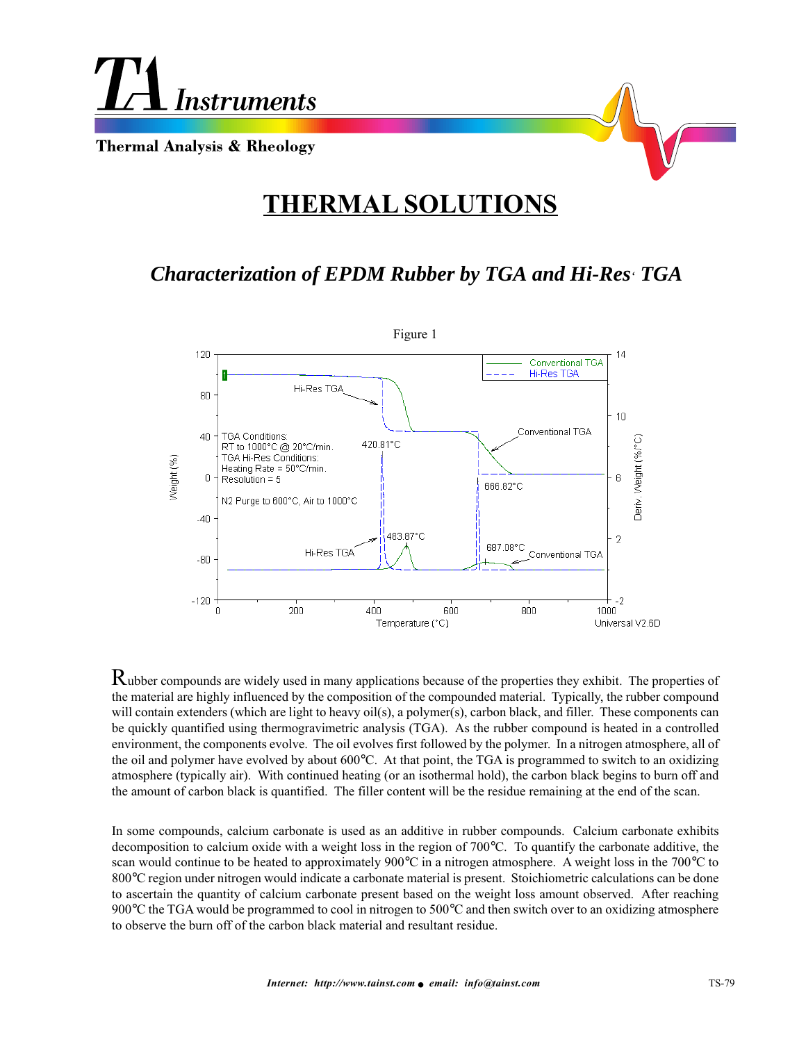

## **THERMAL SOLUTIONS**

## *Characterization of EPDM Rubber by TGA and Hi-Res' TGA*



Rubber compounds are widely used in many applications because of the properties they exhibit. The properties of the material are highly influenced by the composition of the compounded material. Typically, the rubber compound will contain extenders (which are light to heavy oil(s), a polymer(s), carbon black, and filler. These components can be quickly quantified using thermogravimetric analysis (TGA). As the rubber compound is heated in a controlled environment, the components evolve. The oil evolves first followed by the polymer. In a nitrogen atmosphere, all of the oil and polymer have evolved by about 600°C. At that point, the TGA is programmed to switch to an oxidizing atmosphere (typically air). With continued heating (or an isothermal hold), the carbon black begins to burn off and the amount of carbon black is quantified. The filler content will be the residue remaining at the end of the scan.

In some compounds, calcium carbonate is used as an additive in rubber compounds. Calcium carbonate exhibits decomposition to calcium oxide with a weight loss in the region of 700°C. To quantify the carbonate additive, the scan would continue to be heated to approximately 900°C in a nitrogen atmosphere. A weight loss in the 700°C to 800°C region under nitrogen would indicate a carbonate material is present. Stoichiometric calculations can be done to ascertain the quantity of calcium carbonate present based on the weight loss amount observed. After reaching 900°C the TGA would be programmed to cool in nitrogen to 500°C and then switch over to an oxidizing atmosphere to observe the burn off of the carbon black material and resultant residue.